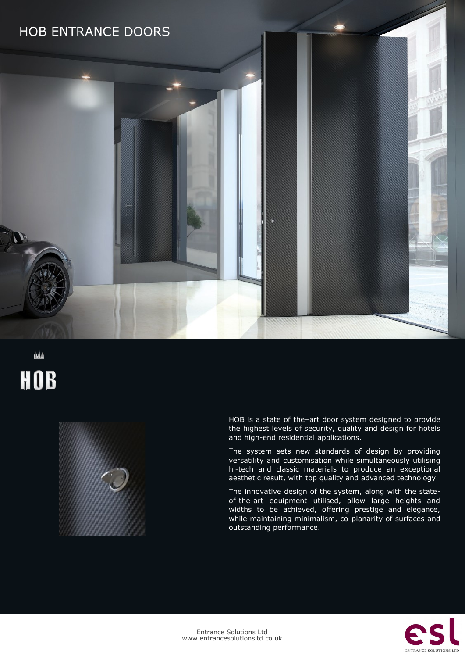

# M **HOB**



HOB is a state of the–art door system designed to provide the highest levels of security, quality and design for hotels and high-end residential applications.

The system sets new standards of design by providing versatility and customisation while simultaneously utilising hi-tech and classic materials to produce an exceptional aesthetic result, with top quality and advanced technology.

The innovative design of the system, along with the stateof-the-art equipment utilised, allow large heights and widths to be achieved, offering prestige and elegance, while maintaining minimalism, co-planarity of surfaces and outstanding performance.

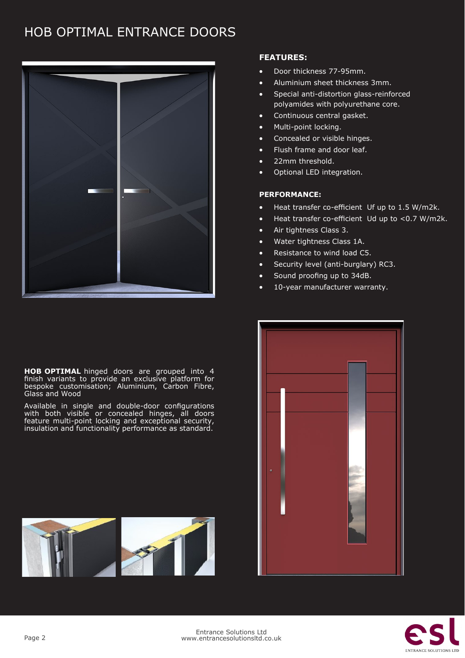## HOB OPTIMAL ENTRANCE DOORS



**HOB OPTIMAL** hinged doors are grouped into 4 finish variants to provide an exclusive platform for bespoke customisation; Aluminium, Carbon Fibre, Glass and Wood

Available in single and double-door configurations with both visible or concealed hinges, all doors feature multi-point locking and exceptional security, insulation and functionality performance as standard.



### **FEATURES:**

- Door thickness 77-95mm.
- Aluminium sheet thickness 3mm.
- Special anti-distortion glass-reinforced polyamides with polyurethane core.
- Continuous central gasket.
- Multi-point locking.
- Concealed or visible hinges.
- Flush frame and door leaf.
- 22mm threshold.
- Optional LED integration.

### **PERFORMANCE:**

- Heat transfer co-efficient Uf up to 1.5 W/m2k.
- Heat transfer co-efficient Ud up to <0.7 W/m2k.
- Air tightness Class 3.
- Water tightness Class 1A.
- Resistance to wind load C5.
- Security level (anti-burglary) RC3.
- Sound proofing up to 34dB.
- 10-year manufacturer warranty.



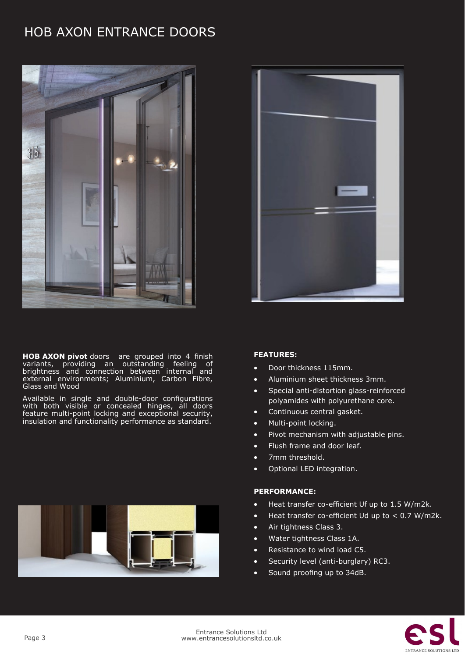# HOB AXON ENTRANCE DOORS



**HOB AXON pivot** doors are grouped into 4 finish variants, providing an outstanding feeling of brightness and connection between internal and external environments; Aluminium, Carbon Fibre, Glass and Wood

Available in single and double-door configurations with both visible or concealed hinges, all doors feature multi-point locking and exceptional security, insulation and functionality performance as standard.





#### **FEATURES:**

- Door thickness 115mm.
- Aluminium sheet thickness 3mm.
- Special anti-distortion glass-reinforced polyamides with polyurethane core.
- Continuous central gasket.
- Multi-point locking.
- Pivot mechanism with adjustable pins.
- Flush frame and door leaf.
- 7mm threshold.
- Optional LED integration.

#### **PERFORMANCE:**

- Heat transfer co-efficient Uf up to 1.5 W/m2k.
- $\bullet$  Heat transfer co-efficient Ud up to  $\lt$  0.7 W/m2k.
- Air tightness Class 3.
- Water tightness Class 1A.
- Resistance to wind load C5.
- Security level (anti-burglary) RC3.
- Sound proofing up to 34dB.